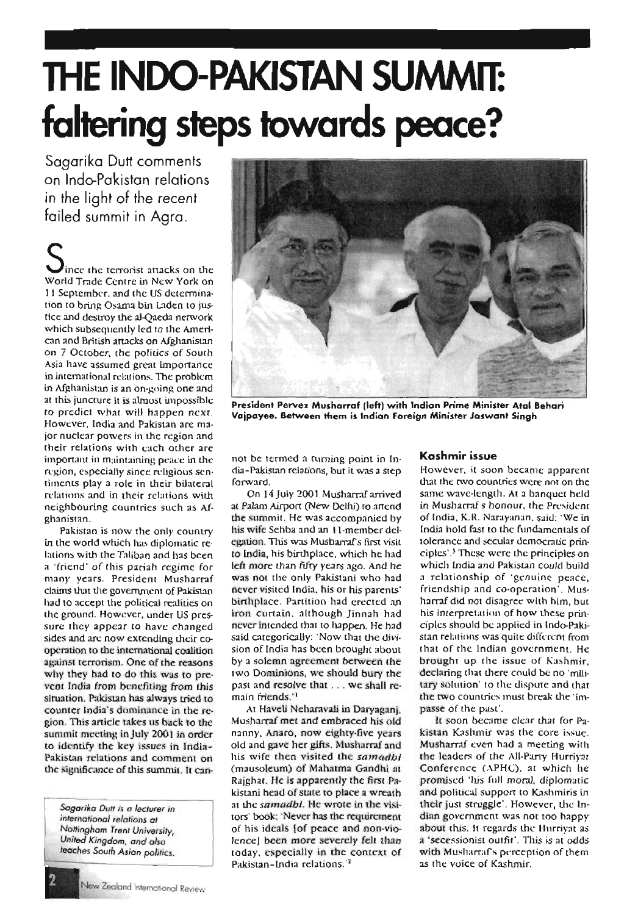# **THE INDO-PAKlSTAN SUMMIT: faltering steps towards peace?**

Sagarika Dutt comments on Indo-Pakistan relations in the light of the recent failed summit in Agra.

Since the terrorist attacks on the World Trade Centre in New York on I1 September. and the us deterrnination to bring Osama bin Laden to justice and destroy the al-Qaeda network which subsequently led to the American and British attacks on Afghanistan on 7 October, the politics of South Asia have assumed great importance in international relations. The problem in Afghanistan is an on-going one and at this juncture It is almost impossible ro predict what will happen next, However, India and Pakistan are major nuclear powers in the region and their relations with each other are important in maintaining peace in the region, especially since religious sentiments play a role in their bilateral relations and in their rclarions with neighbouring countries such as Aighanistan.

Pakistan is now the only country in the world which has diplomatic relations with the Taliban and has been a 'friend' of this pariah regime for many years. President Musharraf claims that the government of Pakistan had to accept the political realities on the ground. However, under US pressure they appear to have changed sides and arc now extending their eooperation 10 the international coalition against terrorism. One of the reasons why they had to do this was to prevcot India from benefiting from rhls Situation. Pakistan has always tried to counter India's dominance in the region . This article takes us back to the summit meeting in July 2001 in order to identify the key issues in India-Pakistan relations and comment on the significance of this summit. It can-

*5agariKa* DUff *is* <sup>0</sup> *lecturer in international relations at Nottingham Trent University, United Kingdom, and also leaches South Asian politics,*



President Pervez Musharraf (left) with Indian Prime Minister Atal Behari Vaipayee. Between them is Indian Foreign Minister Jaswant Singh

nor be termed a turning point in India-Pakistan relations, but it was a step forward.

On 14 July 2001 Musharraf arrived at Palarn Airport (New Delhi) to attend the summit. He was accompanied by his wife Sehba and an I l-mernber delegauon. This was Musbarrafs first visit to India, his birthplace, which he had left more than fifty years ago. And he was not the only Pakistani who had never visited India. his or his parents' birthplace. Partition had erected an iron curtain. although Jinn:Ih had never intended that to happen, He had said categorically: 'Now that the division of India has been brought about by a solemn agreement between the <sup>t</sup> wo Dominions, we should bury the past and resolve that . . . we shall remain friends."

At Haveli Neharavali in Daryaganj, Musharraf met and embraced his old nanny, Anaro, now eighty-five years old and gave her gifts. Musharraf and his wife then visited the samadbt (mausoleum) of Mahatma Gandhi at Rajghat. He is apparently the first Pakistani head of state to place a wreath at the *samadbi*. He wrote in the visitors' book; 'Never has the requirement of his ideals {of peace and non-vielence] been more severely felt than today, especially in the context of Pakistan-India relations. $12$ 

## **Kashmir** issue

However, it soon became apparent that the two countries were not on the same wave-length. At a banquet held in Musharraf s honour, the President of India, K.R. Narayanan, said: 'We in India hold fast to the fundamentals of tolerance and secular democratic principles'.<sup>3</sup> These were the principles on which India and Pakistan could build a relationship of 'genuine peace, Iriendshlp and co-operation'. Musharraf did not disagree with him, but his lnterpretation of how these principles should be applied in lndo-Pakistan relations was quite different from that of the Indian government. He brought up the issue of Kashmir. declaring that there could be no 'military solution' to the dispute and that the two countries must break the 'impasse of the past',

It soon became clear that for Pakistan Kashmir was the core issue. Musharraf even had a meeting with (he leaders of the All-Party Hurriyat Conference (APHC), at which he promised 'his fill! moral, diplomatic and political support to Kashmiris in their just struggle'. However, the Indian government was not too happy about this. It regards the Hurrivat as a 'secessionist outfit', This is at' odds with Musharraf's perception of them as the voice of Kashmir,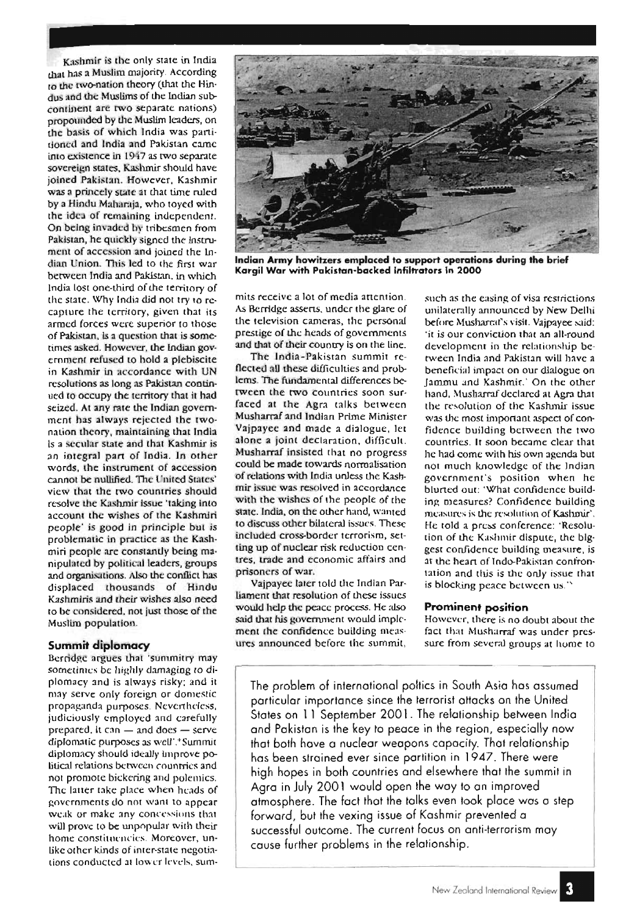Kashmir is the only state in India that nas a Muslim maioriry. According 10 the two-nation theory (that the Hindus and the Muslims of the Indian subcontinent are two separate nations) propollnded by the Muslim leaders, on the basis of which India was partitioned and India and Pakistan came into existence in 1917 as two separate sovereign states, Kashmir should have joined Pakistan. However, Kashmir was a princely state at that time ruled by a Hindu Maharaja, who toyed with the idea of remaining independent. On being invaded by tribesmen from Pakistan, he quickly signed the instrument of accession and joined the lndian Union. This led to the first war between India and Pakistan, in which India 10SI one-third of the territory of the state. Why India did not try to recapture the territory, given that its armed forces were superior 10 those of Pakistan, ls a question that is sometimes asked. However, the Indian governrneru refused to hold a plebiscite in Kashmir in accordance with UN resolutions as long as Pakistan continued to occupy the territory rhar it had seized. At any rate the Indian governmcnr has always rejected the IWOnation theory, maintaining that India Is a secular state and that Kashmir is an integral part of India. In other words, the instrument of accession cannot be nullified. The United States' view that the rwo countries should resolve the Kashmir issue 'taking Into account the wishes of the Kashmlri people' is good in principle but is problematic in practice as the Kashmiri people are constantly being manipulated by political leaders. groups and organisations. Also the conflict has displaced thousands of Hindu Kzshmiris and their wishes also need to be considered, not just those of the Muslim population.

Berridgc argues that 'sumrnirry may sometimes be highly damaging <sup>10</sup> diplomacy and is always risky: and it may serve only foreign or domestic propaganda purposes. Nevertheless, judiciously employed and carefully prepared, it can  $-$  and does  $-$  serve diplomatic purposes as well'.<sup>4</sup> Summit diplomacy should ideally Improve political relations between countries and not promote bickering and polemics. The latter take place when heads of governments do not want to appear wc.ik or make: any concessions tbat will prove to be unpopular with their home constituencies. Moreover, unlike other kinds of inter-state negotiations conducted at lower levels, sum-



**Indian Army howitzers emplaced to support operations during the brief Kargil War with Pakistan-backed Infiltrators In 2000**

mits receive a lot of media attention. As Berridgc asserts. under the glare of the television cameras, the personal prestige of the heads of governments and that of their country is on the line.

The India-Pakistan summit reflected all these difficulties and problems. The fundamental differences berwcen the rwo countries soon surfaced at the Agra calks between Musharraf and Indian Prime Minister Vajpayec and made a dialogue, let alone a joint declaration, difficult. Musharraf insisted that no progress could be made towards normalisation of relations with India unless the Kashrnir ixsue was resolved in accordance with the wishes of the people of the state. India, on the other hand, wanted to discuss other bilateral issues. These included cross-border terrorism, setting up of nuclear risk reduction centres, trade and economic affairs and prisoners of war.

Vajpavec later told the Indian Parliament that resolution of these issues would hdp the peace process. He also said that his government would implement the confidence building meas-**Summit diplomacy** ures announced before the summit, such as the easing of visa restrictions unilaterally announced by New Delhi before Musharraf'x visit. Vajpayee said: 'it is our conviction that an all-round development in the relationship berween India and Pakistan will have a beneficial impact on our dialogue on Jammu and Kashmir.' On the other hand. Musharraf declared at Agra that the resolurion of the Kashmir issue was the most important aspect of confidence building between the two countries. It soon became clear that hc had come with his own agenda but not much knowledge of the Indian government's position when he blurted out: 'What confidence building measures? Confidence building measures is the resolution of Kashmir'. He told a press conference: 'Resolution of the Kashmir dispute, the blggest confidence building measure, is at the heart of lndo-Pakixtan conrrontation and this is the only issue that is blocking peace between us."

#### **Prominent position**

However, there is no doubt about the fact Ihat Musharraf was under pressure from several groups at home to

The problem of international poltics in South Asia has assumed particular importance since the terrorist attacks on the United States on 11 September 2001. The relationship between India and Pakistan is the key to peace in the region, especially now that both hove a nuclear weapons capacity. That relafionship has been strained ever since partition in 1947. There were high hopes in both countries and elsewhere that the summit in Aqro in July 2001 would open the way to an improved atmosphere. The fact that the talks even look place was a step forward, but the vexing issue of Kashmir prevented a successful outcome. The current focus on anti-terrorism may cause further problems in the relationship.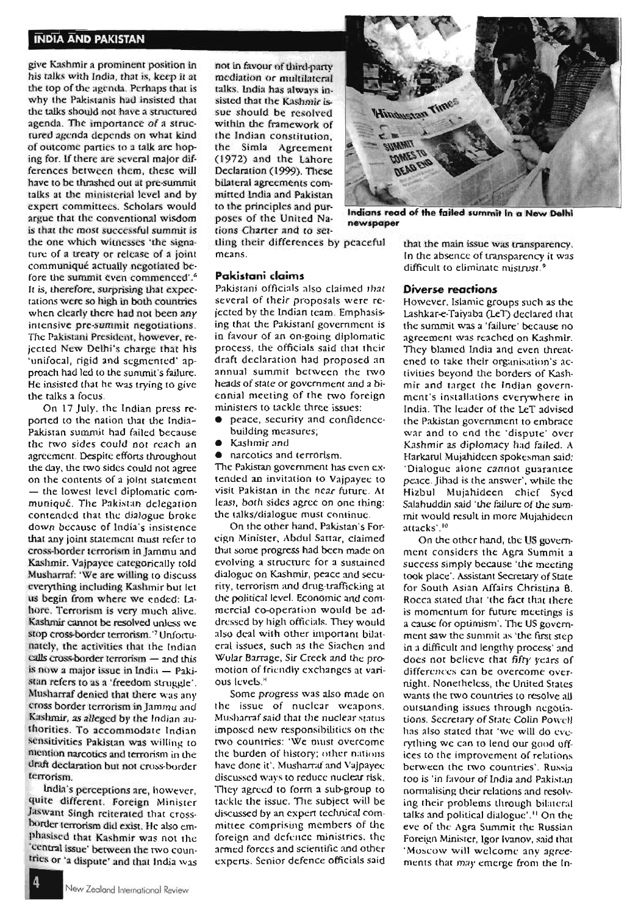### **INDIA AND PAKISTAN**

give Kashmir a promlnenr position in his talks with India, that is, keep it at the top of the agenda. Perhaps that is why the Pakistanis had insisted that the talks should not have a structured agenda. The importance of a structured agenda depends on what kind of outcome parties to a talk arc hoping for. If there are several major differences between them, these will have to be thrashed out at pre-summit talks at the ministerial level and by expert committees. Scholars would argue that the conventional wisdom is that the most successful summit is the one which witnesses 'the signature of a treaty or release of a joint communique actually negotiated before the summit even commenced'.<sup>6</sup> It is, therefore, surprising that expecrations were so high in both countries when clearly there had not been any intensive pre-summit negotiations. The Pakistani President, however, rejected New Delhi's charge that his ' unifocal, rigid and segmented" approach had led to the summit's failure. He insisted that he was trying to give the talks a focus.

On 17 July, the Indian press reported to the nation that the lndia-Pakistan summit had failed because the two sides could not reach an agreement. Despite efforts throughout the day, the rwo sides could not agree on the contents of a joint statement - the lowest level diplomatic communiqué. The Pakistan delegation contended that the dialogue broke down because of India's insistence that any joint statement must refer to cross-border terrorism in jarnmu and Kashmir. Vajpayee categorically told Musharraf: 'We are willing to discuss everything including Kashmir but let us begin from where wc ended: Lahore. Terrorism is very much alive. Kashmir cannot be resolved unless we stop cross-border terrorism.'7 Unfortunately, the activities that the Indian calls cross-border terrorism - and this is now a major issue in India  $-$  Pakistan refers to as a 'freedom struggle'. Musharraf denied that there was any cross border terrorism in jarnrnu and Kashmir, as alleged by the Indian authorities. To accommodate Indian sensitivities Pakistan was willing to mention narcotics and terrorism in the draft declaration but not cross-border terrorism.

lndL1 's perceptions are, however, quite different. Foreign Minister Jaswant Singh reiterated that crossborder terrorism did exist. He also emphasised that Kashmir was not Ihe 'central issue' between the two countries or 'a dispute' and that India was not in favour of third-party mcdlation or multilateral talks. lndia has always insisted that the Kashmir issue should be resolved within the framework of the Indian constitution, the Simla Agreement (1972) and the Lahore Declaration (1999). These bilateral agreements cornmitted India and Pakistan to the principles and pur· poses of the United Nations Charter and to set-



Indians read of the failed summit in a New Delhi newspaper

tling their differences by peaceful means.

#### **Pakistani claims**

Pakistani officials also claimed that several of their proposals were rejected by the Indian team . Emphasising that the Pakistanl government is in favour of an on-going diplomatic process, the officials said that their draft declaration had proposed an annual summit between the rwo heads of Slate or government and a biennial meeting of the two foreign ministers to tackle three issues:

- peace, securiry and confidencebuilding measures;
- Kashmir and
- narcotics and terrorism.

The Pakistan govcrnrneru has even extended an invitation to Vajpayee to visit Pakistan in the near future . At least, both sides agree on one thing: the talks/dialogue must continue .

On the other hand, Pakistan's Forcign Minister, Abdul Sartar, claimed that some progress had been made on evolving a structure for a sustained dialogue on Kashmir, peace and security, terrorism and drug-trafficking at the political level. Economic and commercial co-operation would be addressed by high officials. They would also deal with other important bilateral issues, such as the Siachen and Wular Barrage, Sir Creek and the promotion of friendly exchanges at various levels."

Some progress was also made on the issue of nuclear weapons. Muxharrafsaid rhat the nuclear status imposed new responsibilities on the two countries: 'We must overcome the burden of history: other nations have done it', Musharraf and Vajpayec discussed ways to reduce nuclear risk, They agreed to form a sub-group to tackle the issue. The subject will be discussed by an expert technical committee comprising members of the foreign and defence ministries, the armed forces and scientific and other experts. Senior defence officials said that the main issue was transparency. In the absence of transparency it was difficult to eliminate mistrust.<sup>9</sup>

#### **Diverse reactions**

However. Islamic groups such as the Lashkar-e-Taiyaba (Le'T) declared that the summit was a 'failure' because no agreement was reached on Kashmir. They blamed India and even threatened to take their organisation's acriviues beyond the borders of Kashmir and target the Indian government's inxtallatlons everywhere in India. The leader of the LeT advised the Pakistan government to embrace war and to end the 'dispute' over Kashmir as diplomacy had failed. A Harkarul Mujahidcen spokesman said: 'Dialogue alone cannot guarantee peace. jihad is the answer', while the Hizbul Mujahideen chief Sycd Salahuddin said 'the failure of the summit would result in more Mujahideen attacks'.<sup>10</sup>

On the other hand, the US government considers the Agra Summit a success simply because 'the meeting took place'. Assistant Secretary of Stdte for South Asian Affairs Christina B. Rocca stated that 'the fact that there is momentum for future meerings is a cause for optimism'. The US government saw the summit as 'the first step in a difficult and lengthy process' and does not believe chac fifry years of differences can be overcome overnight. Nonetheless, the United States wants the two countries to resolve all outstanding issues through ncgotiations. Secretary of State Colin Powell has also stated that 'we will do everything we can to lend our good offices to the improvement of relations between the two countries', Russia too is 'in favour of India and Pakistan normalising their relations and resolving their problems through bilateral talks and political dialogue' ." On the eve of the Agra Summit the Russian Foreign Minister, Igor Ivanov, said that 'Moscow will welcome any agreements that may emerge from the In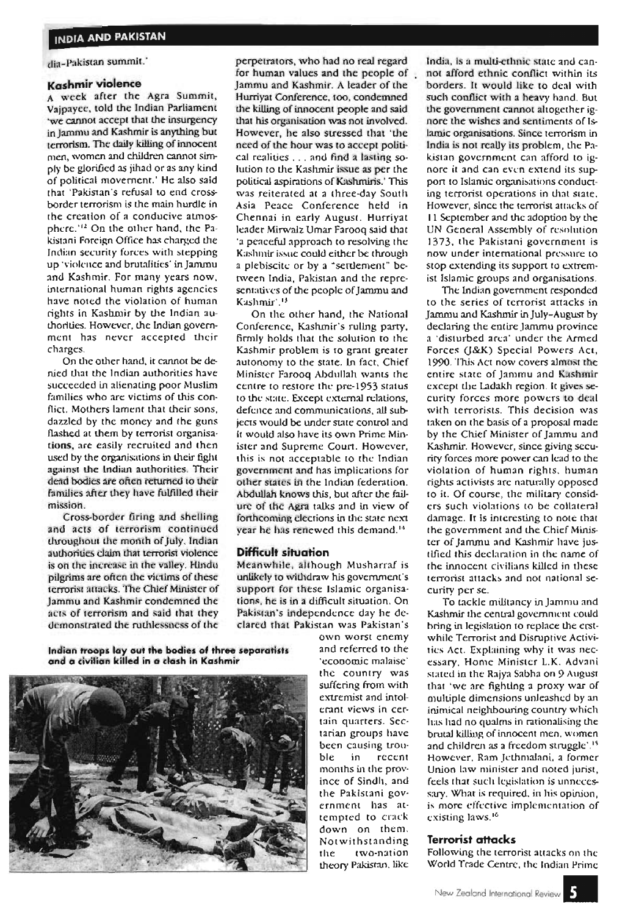dia-Pakistan summit.'

# **Kashmir violence**

A week after the Agra Summit, Vajpayee, told the Indian Parliament 'We cannot accept that the insurgency in jarnmu and Kashmir is anything but terrorism. The daily killing of innocent men, women and children cannot simply be glorified as jihad or as any kind of political movement.' He also said I hat 'Pakistan's refusal to end crossborder terrorism is the main hurdle in the creation of a conducive atmosphcrc.'!' On the other hand, the Pakistani Foreign Office has charged the Indian security forces with stepping up 'violence and brutalities' in jamrnu and Kashmir. For many years now, international human rights agencies have noted the violation of human rights in Kashmir by the Indian authortues. However, the Indian government has never accepted their charges.

On the other hand, it cannot be denied that the Indian authorities have succeeded in alienating poor Muslim families who are victims of this conflict. Mothers lament that their sons, dazzled by the money and the guns flashed at them by terrorist organisations, are easily recruited and then used by the organisations in their fight against the Indian authorities. Their dead bodies are often returned to their families after they have fulfilled their mission.

Cross-border firing and shelling and acts of terrorism continued throughout the month of July, Indian authorities daim that terrorist violence is on the increase in the valley. Hindu pilgrims are often the victims of these terrorist attacks. The Chief Minister of )ammu and Kashmir condemned the acts of terrorism and said that they demonstrated the ruthlessness of the perpetrators, who had no real regard for human values and the people of Jammu and Kashmir. A leader of the Hurriyat Conference. too, condemned the killing of innocent people and said that his organisation was not involved. However, he also stressed that 'the need of the hour was to accept political realities ... and find <sup>a</sup> lasting solution <sup>10</sup> the Kashmir issue as per the political aspirations of Kashmiris.' This was reiterated at a three-day South Asia Peace Conference held in Chennai in early August. Hurriyat leader Mirwalz Umar Farooq said that 'a peaceful approach to resolving the Kashmir issue could eithcr be through a plebiscite or by a "settlement" between India, Pakistan and the representatives of the people of Jammu and Kashmir'.<sup>13</sup>

On the other hand, the National Conference, Kashmir's ruling party. firmly holds that the solution to the Kashmir problem is to grant greater autonomy to the state. In fact, Chief Minister Farooq Abdullah wants the centre to restore the pre-1953 status to the scue. Except external relations, defence and communications, all subjects would be under state control and 'I would also have its own Prime Minister and Supreme Court. However, this is not acceptable to the Indian government and has implications for other states in the Indian federation. Abdullah knows this, but after the failurc of the Agra talks and In view of forthcoming elections in the stare next year he has renewed this demand.<sup>13</sup>

#### **Difficult situation**

Meanwhile, although Musharraf is unlikely 10 withdraw his government's support for these Islamic organisations, he is in a difficult situation, On Pakistan's independence day he declared that Pakistan was Pakistan's

**Indian troops layout the bodies of three separatists and a civilian killed in a clash in Kashmir**



own worst enemy and referred to the 'economic malaise' the country was suffering from with extremist and intolerant views in certain quarters. Sectarian groups have been causing trouble in recent months in the province of Sindh, and the Pakistani government has attempled to crack down on them, Not withstanding the two-nation theory Pakistan, like

India, is a multi-ethnic state and cannot afford ethnic conflict within iLS borders. It would like to deal with such conflict with a heavy hand. But the government cannot altogether ignore the wishes and sentiments of Islamic organisations. Since terrorism in India is not really its problem, the Pakistan government can afford to ignore it and can even extend its support 10 Islamic organisations conducting terrorist operations in that state, However, since the terrorist attacks of I 1 September and thc adoption by the UN General Assembly of resolution 1373. the Pakistani government is now under international pressure to stop extending its support to extremist Islamic groups and organisations.

The Indian government responded to the series of terrorist attacks in jammu and Kashmir in july-Augusr by declaring the entire Jammu province a 'disturbed area: under the Armed Forces (J&K) Special Powers Act, 1990. This ACt now covers almost the entire state of jamrnu and Kashmir except the Ladakh region. It gives security forces more powers to deal with terrorists. This decision was taken on the basis of a proposal made by the Chief Minister of Jammu and Kashmir. However, since giving security forces more power can lead to the violation of human rights, human rights activists arc naturally opposed 10 it. Of course, the military considers such violations to be collateral damage. Ir Is interesting to note that the government and the Chief Minister of jarnmu and Kashmir have justified this declaration in the name of the innocent civilians killed in these terrorist attacks and not national securiry per se.

To tackle militancy in jarnrnu and Kashmir the central government could bring in legislation 10 replace the erstwhile Terrorist and Disruptive Activitics ACI. Explaining why it was necessary, Home Minister L.K. Advani stated in the Rajya Sabha on 9 August that 'we are fighting a proxy war of multiple dimensions unleashed by an Inimical neighbouring country which has had no qualms in rationalising the brutal killing of innocent men, women and children as a freedom struggle'.<sup>15</sup> However, Ram jcthmalani, a former Union law minister and noted jurist, feels that such legislation is unnecessary. What is required, in his opinion, is more effccrive implementation of existing laws.<sup>16</sup>

#### **Terrorist attacks**

Following the terrorist attacks on the World Trade Centre, the Indian Prime